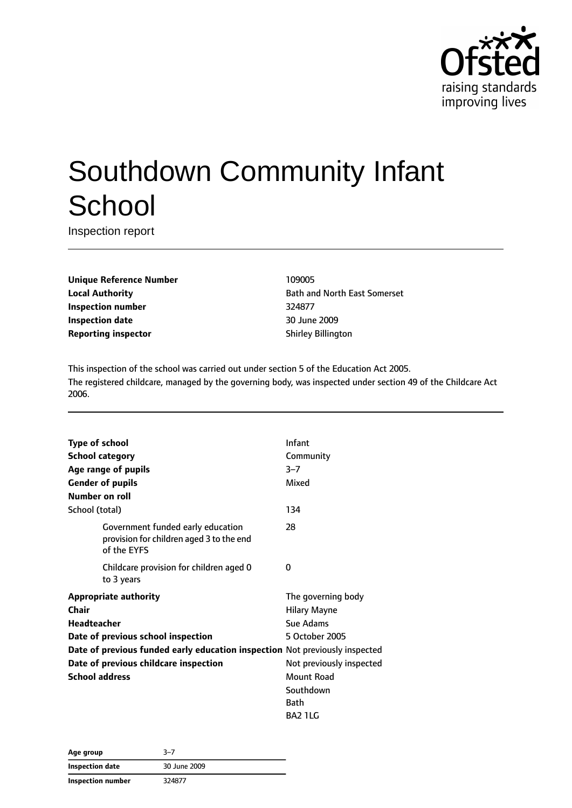

# Southdown Community Infant **School**

Inspection report

**Unique Reference Number** 109005 **Inspection number** 324877 **Inspection date** 30 June 2009 **Reporting inspector** Shirley Billington

**Local Authority Bath and North East Somerset** 

This inspection of the school was carried out under section 5 of the Education Act 2005. The registered childcare, managed by the governing body, was inspected under section 49 of the Childcare Act 2006.

| <b>Type of school</b>                                                                        | Infant                   |
|----------------------------------------------------------------------------------------------|--------------------------|
| <b>School category</b>                                                                       | Community                |
| Age range of pupils                                                                          | $3 - 7$                  |
| <b>Gender of pupils</b>                                                                      | Mixed                    |
| Number on roll                                                                               |                          |
| School (total)                                                                               | 134                      |
| Government funded early education<br>provision for children aged 3 to the end<br>of the EYFS | 28                       |
| Childcare provision for children aged 0<br>to 3 years                                        | 0                        |
| <b>Appropriate authority</b>                                                                 | The governing body       |
| Chair                                                                                        | <b>Hilary Mayne</b>      |
| <b>Headteacher</b>                                                                           | Sue Adams                |
| Date of previous school inspection                                                           | 5 October 2005           |
| Date of previous funded early education inspection Not previously inspected                  |                          |
| Date of previous childcare inspection                                                        | Not previously inspected |
| <b>School address</b>                                                                        | Mount Road               |
|                                                                                              | Southdown                |
|                                                                                              | <b>Bath</b>              |
|                                                                                              | BA2 1LG                  |

| Age group         | 3–7          |  |
|-------------------|--------------|--|
| Inspection date   | 30 June 2009 |  |
| Inspection number | 324877       |  |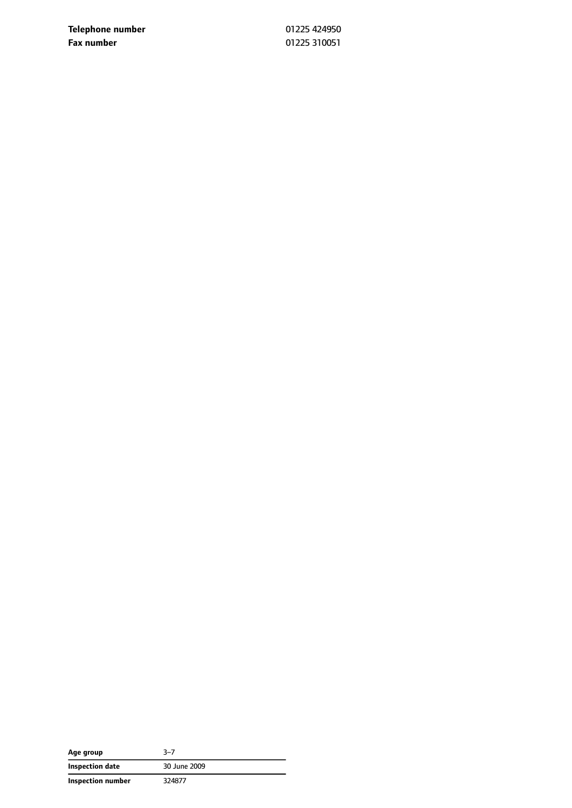**Telephone number** 01225 424950 **Fax number** 01225 310051

| Age group         | 3–7          |
|-------------------|--------------|
| Inspection date   | 30 June 2009 |
| Inspection number | 324877       |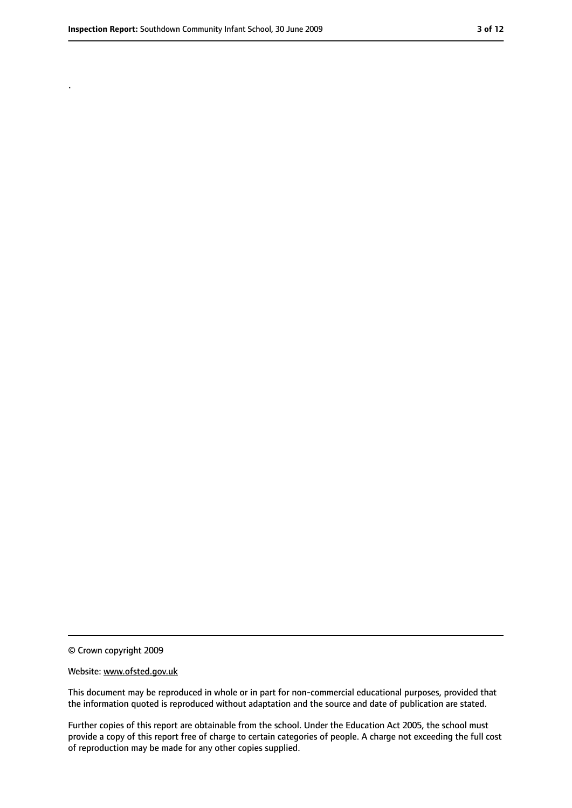.

<sup>©</sup> Crown copyright 2009

Website: www.ofsted.gov.uk

This document may be reproduced in whole or in part for non-commercial educational purposes, provided that the information quoted is reproduced without adaptation and the source and date of publication are stated.

Further copies of this report are obtainable from the school. Under the Education Act 2005, the school must provide a copy of this report free of charge to certain categories of people. A charge not exceeding the full cost of reproduction may be made for any other copies supplied.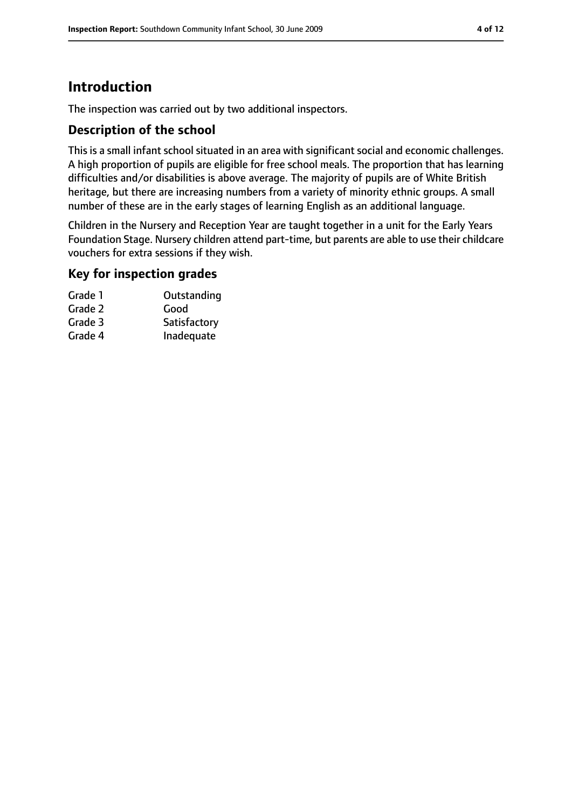# **Introduction**

The inspection was carried out by two additional inspectors.

## **Description of the school**

This is a small infant school situated in an area with significant social and economic challenges. A high proportion of pupils are eligible for free school meals. The proportion that has learning difficulties and/or disabilities is above average. The majority of pupils are of White British heritage, but there are increasing numbers from a variety of minority ethnic groups. A small number of these are in the early stages of learning English as an additional language.

Children in the Nursery and Reception Year are taught together in a unit for the Early Years Foundation Stage. Nursery children attend part-time, but parents are able to use their childcare vouchers for extra sessions if they wish.

## **Key for inspection grades**

| Outstanding  |
|--------------|
| Good         |
| Satisfactory |
| Inadequate   |
|              |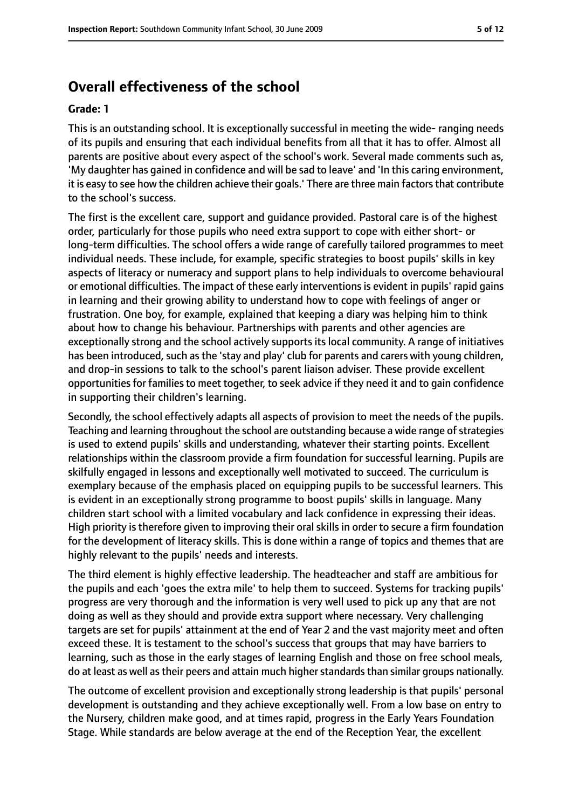# **Overall effectiveness of the school**

#### **Grade: 1**

This is an outstanding school. It is exceptionally successful in meeting the wide- ranging needs of its pupils and ensuring that each individual benefits from all that it has to offer. Almost all parents are positive about every aspect of the school's work. Several made comments such as, 'My daughter has gained in confidence and will be sad to leave' and 'In this caring environment, it is easy to see how the children achieve their goals.' There are three main factors that contribute to the school's success.

The first is the excellent care, support and guidance provided. Pastoral care is of the highest order, particularly for those pupils who need extra support to cope with either short- or long-term difficulties. The school offers a wide range of carefully tailored programmes to meet individual needs. These include, for example, specific strategies to boost pupils' skills in key aspects of literacy or numeracy and support plans to help individuals to overcome behavioural or emotional difficulties. The impact of these early interventions is evident in pupils' rapid gains in learning and their growing ability to understand how to cope with feelings of anger or frustration. One boy, for example, explained that keeping a diary was helping him to think about how to change his behaviour. Partnerships with parents and other agencies are exceptionally strong and the school actively supports its local community. A range of initiatives has been introduced, such as the 'stay and play' club for parents and carers with young children, and drop-in sessions to talk to the school's parent liaison adviser. These provide excellent opportunities for families to meet together, to seek advice if they need it and to gain confidence in supporting their children's learning.

Secondly, the school effectively adapts all aspects of provision to meet the needs of the pupils. Teaching and learning throughout the school are outstanding because a wide range of strategies is used to extend pupils' skills and understanding, whatever their starting points. Excellent relationships within the classroom provide a firm foundation for successful learning. Pupils are skilfully engaged in lessons and exceptionally well motivated to succeed. The curriculum is exemplary because of the emphasis placed on equipping pupils to be successful learners. This is evident in an exceptionally strong programme to boost pupils' skills in language. Many children start school with a limited vocabulary and lack confidence in expressing their ideas. High priority is therefore given to improving their oral skills in order to secure a firm foundation for the development of literacy skills. This is done within a range of topics and themes that are highly relevant to the pupils' needs and interests.

The third element is highly effective leadership. The headteacher and staff are ambitious for the pupils and each 'goes the extra mile' to help them to succeed. Systems for tracking pupils' progress are very thorough and the information is very well used to pick up any that are not doing as well as they should and provide extra support where necessary. Very challenging targets are set for pupils' attainment at the end of Year 2 and the vast majority meet and often exceed these. It is testament to the school's success that groups that may have barriers to learning, such as those in the early stages of learning English and those on free school meals, do at least as well as their peers and attain much higher standards than similar groups nationally.

The outcome of excellent provision and exceptionally strong leadership is that pupils' personal development is outstanding and they achieve exceptionally well. From a low base on entry to the Nursery, children make good, and at times rapid, progress in the Early Years Foundation Stage. While standards are below average at the end of the Reception Year, the excellent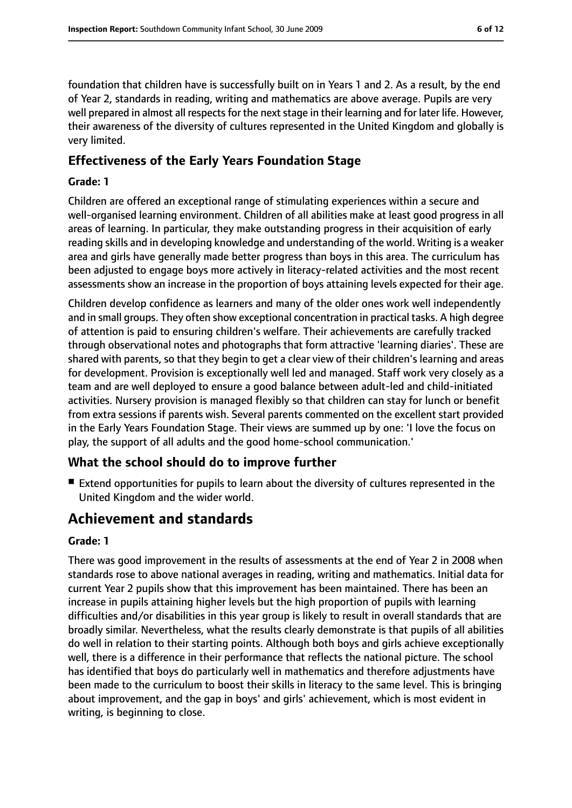foundation that children have is successfully built on in Years 1 and 2. As a result, by the end of Year 2, standards in reading, writing and mathematics are above average. Pupils are very well prepared in almost all respects for the next stage in their learning and for later life. However, their awareness of the diversity of cultures represented in the United Kingdom and globally is very limited.

## **Effectiveness of the Early Years Foundation Stage**

#### **Grade: 1**

Children are offered an exceptional range of stimulating experiences within a secure and well-organised learning environment. Children of all abilities make at least good progress in all areas of learning. In particular, they make outstanding progress in their acquisition of early reading skills and in developing knowledge and understanding of the world. Writing is a weaker area and girls have generally made better progress than boys in this area. The curriculum has been adjusted to engage boys more actively in literacy-related activities and the most recent assessments show an increase in the proportion of boys attaining levels expected for their age.

Children develop confidence as learners and many of the older ones work well independently and in small groups. They often show exceptional concentration in practical tasks. A high degree of attention is paid to ensuring children's welfare. Their achievements are carefully tracked through observational notes and photographs that form attractive 'learning diaries'. These are shared with parents, so that they begin to get a clear view of their children's learning and areas for development. Provision is exceptionally well led and managed. Staff work very closely as a team and are well deployed to ensure a good balance between adult-led and child-initiated activities. Nursery provision is managed flexibly so that children can stay for lunch or benefit from extra sessions if parents wish. Several parents commented on the excellent start provided in the Early Years Foundation Stage. Their views are summed up by one: 'I love the focus on play, the support of all adults and the good home-school communication.'

# **What the school should do to improve further**

■ Extend opportunities for pupils to learn about the diversity of cultures represented in the United Kingdom and the wider world.

# **Achievement and standards**

#### **Grade: 1**

There was good improvement in the results of assessments at the end of Year 2 in 2008 when standards rose to above national averages in reading, writing and mathematics. Initial data for current Year 2 pupils show that this improvement has been maintained. There has been an increase in pupils attaining higher levels but the high proportion of pupils with learning difficulties and/or disabilities in this year group is likely to result in overall standards that are broadly similar. Nevertheless, what the results clearly demonstrate is that pupils of all abilities do well in relation to their starting points. Although both boys and girls achieve exceptionally well, there is a difference in their performance that reflects the national picture. The school has identified that boys do particularly well in mathematics and therefore adjustments have been made to the curriculum to boost their skills in literacy to the same level. This is bringing about improvement, and the gap in boys' and girls' achievement, which is most evident in writing, is beginning to close.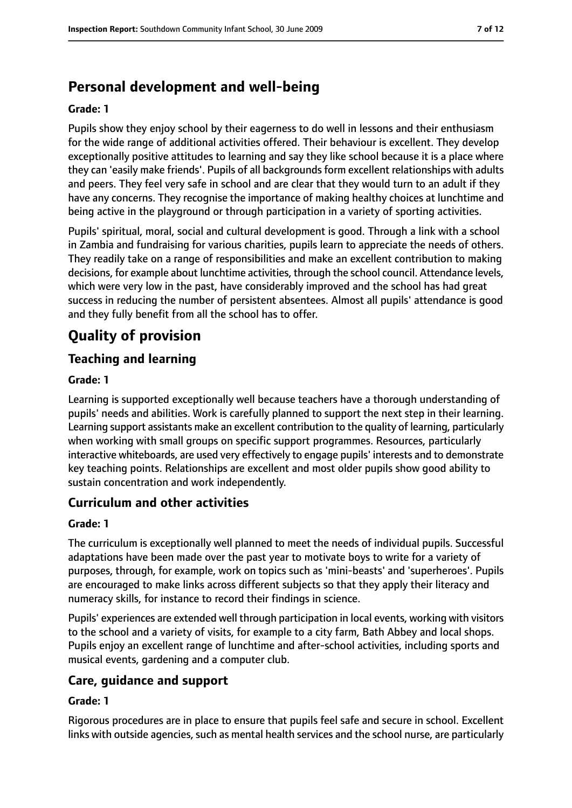# **Personal development and well-being**

#### **Grade: 1**

Pupils show they enjoy school by their eagerness to do well in lessons and their enthusiasm for the wide range of additional activities offered. Their behaviour is excellent. They develop exceptionally positive attitudes to learning and say they like school because it is a place where they can 'easily make friends'. Pupils of all backgrounds form excellent relationships with adults and peers. They feel very safe in school and are clear that they would turn to an adult if they have any concerns. They recognise the importance of making healthy choices at lunchtime and being active in the playground or through participation in a variety of sporting activities.

Pupils' spiritual, moral, social and cultural development is good. Through a link with a school in Zambia and fundraising for various charities, pupils learn to appreciate the needs of others. They readily take on a range of responsibilities and make an excellent contribution to making decisions, for example about lunchtime activities, through the school council. Attendance levels, which were very low in the past, have considerably improved and the school has had great success in reducing the number of persistent absentees. Almost all pupils' attendance is good and they fully benefit from all the school has to offer.

# **Quality of provision**

# **Teaching and learning**

#### **Grade: 1**

Learning is supported exceptionally well because teachers have a thorough understanding of pupils' needs and abilities. Work is carefully planned to support the next step in their learning. Learning support assistants make an excellent contribution to the quality of learning, particularly when working with small groups on specific support programmes. Resources, particularly interactive whiteboards, are used very effectively to engage pupils' interests and to demonstrate key teaching points. Relationships are excellent and most older pupils show good ability to sustain concentration and work independently.

# **Curriculum and other activities**

#### **Grade: 1**

The curriculum is exceptionally well planned to meet the needs of individual pupils. Successful adaptations have been made over the past year to motivate boys to write for a variety of purposes, through, for example, work on topics such as 'mini-beasts' and 'superheroes'. Pupils are encouraged to make links across different subjects so that they apply their literacy and numeracy skills, for instance to record their findings in science.

Pupils' experiences are extended well through participation in local events, working with visitors to the school and a variety of visits, for example to a city farm, Bath Abbey and local shops. Pupils enjoy an excellent range of lunchtime and after-school activities, including sports and musical events, gardening and a computer club.

## **Care, guidance and support**

#### **Grade: 1**

Rigorous procedures are in place to ensure that pupils feel safe and secure in school. Excellent links with outside agencies, such as mental health services and the school nurse, are particularly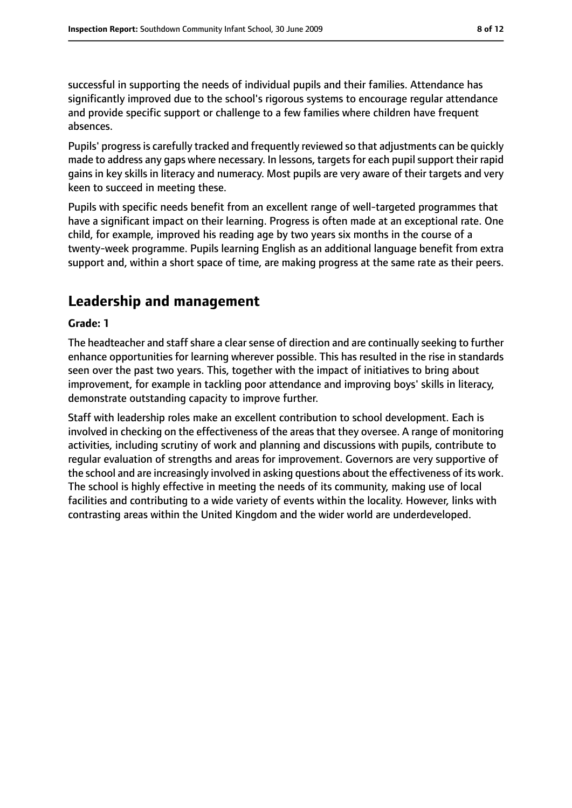successful in supporting the needs of individual pupils and their families. Attendance has significantly improved due to the school's rigorous systems to encourage regular attendance and provide specific support or challenge to a few families where children have frequent absences.

Pupils' progress is carefully tracked and frequently reviewed so that adjustments can be quickly made to address any gaps where necessary. In lessons, targets for each pupil support their rapid gains in key skills in literacy and numeracy. Most pupils are very aware of their targets and very keen to succeed in meeting these.

Pupils with specific needs benefit from an excellent range of well-targeted programmes that have a significant impact on their learning. Progress is often made at an exceptional rate. One child, for example, improved his reading age by two years six months in the course of a twenty-week programme. Pupils learning English as an additional language benefit from extra support and, within a short space of time, are making progress at the same rate as their peers.

# **Leadership and management**

#### **Grade: 1**

The headteacher and staff share a clear sense of direction and are continually seeking to further enhance opportunities for learning wherever possible. This has resulted in the rise in standards seen over the past two years. This, together with the impact of initiatives to bring about improvement, for example in tackling poor attendance and improving boys' skills in literacy, demonstrate outstanding capacity to improve further.

Staff with leadership roles make an excellent contribution to school development. Each is involved in checking on the effectiveness of the areas that they oversee. A range of monitoring activities, including scrutiny of work and planning and discussions with pupils, contribute to regular evaluation of strengths and areas for improvement. Governors are very supportive of the school and are increasingly involved in asking questions about the effectiveness of its work. The school is highly effective in meeting the needs of its community, making use of local facilities and contributing to a wide variety of events within the locality. However, links with contrasting areas within the United Kingdom and the wider world are underdeveloped.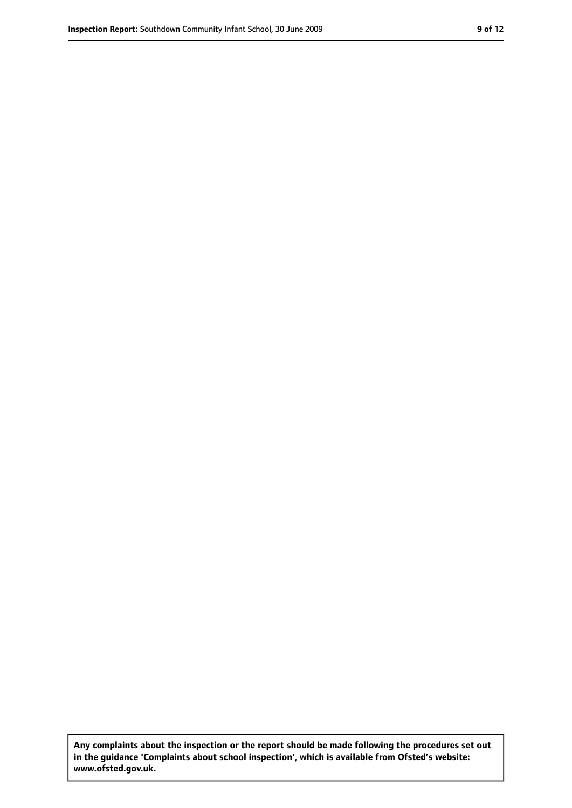**Any complaints about the inspection or the report should be made following the procedures set out in the guidance 'Complaints about school inspection', which is available from Ofsted's website: www.ofsted.gov.uk.**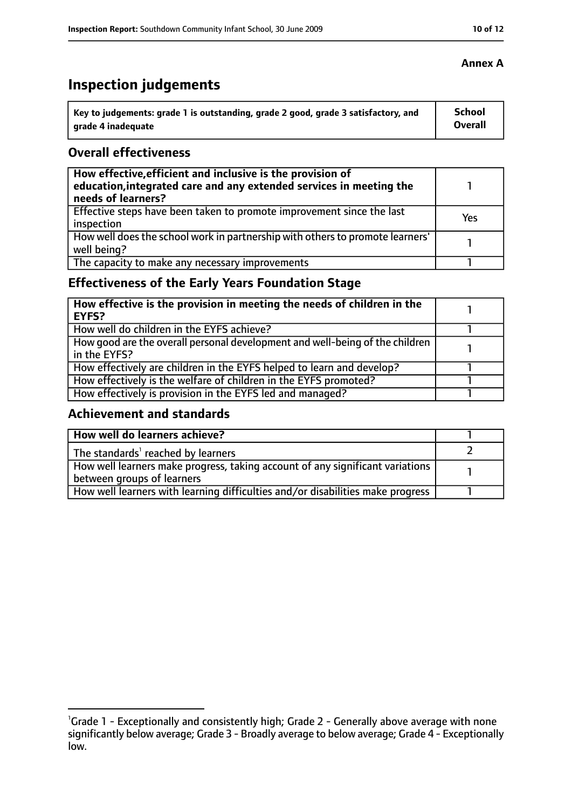# **Inspection judgements**

| Key to judgements: grade 1 is outstanding, grade 2 good, grade 3 satisfactory, and | <b>School</b> |
|------------------------------------------------------------------------------------|---------------|
| arade 4 inadequate                                                                 | Overall       |

## **Overall effectiveness**

| How effective, efficient and inclusive is the provision of<br>education, integrated care and any extended services in meeting the<br>needs of learners? |     |
|---------------------------------------------------------------------------------------------------------------------------------------------------------|-----|
| Effective steps have been taken to promote improvement since the last<br>inspection                                                                     | Yes |
| How well does the school work in partnership with others to promote learners'<br>well being?                                                            |     |
| The capacity to make any necessary improvements                                                                                                         |     |

# **Effectiveness of the Early Years Foundation Stage**

| How effective is the provision in meeting the needs of children in the<br><b>EYFS?</b>       |  |
|----------------------------------------------------------------------------------------------|--|
| How well do children in the EYFS achieve?                                                    |  |
| How good are the overall personal development and well-being of the children<br>in the EYFS? |  |
| How effectively are children in the EYFS helped to learn and develop?                        |  |
| How effectively is the welfare of children in the EYFS promoted?                             |  |
| How effectively is provision in the EYFS led and managed?                                    |  |

# **Achievement and standards**

| How well do learners achieve?                                                               |  |
|---------------------------------------------------------------------------------------------|--|
| The standards <sup>1</sup> reached by learners                                              |  |
| $\mid$ How well learners make progress, taking account of any significant variations $\mid$ |  |
| between groups of learners                                                                  |  |
| How well learners with learning difficulties and/or disabilities make progress              |  |

<sup>&</sup>lt;sup>1</sup>Grade 1 - Exceptionally and consistently high; Grade 2 - Generally above average with none significantly below average; Grade 3 - Broadly average to below average; Grade 4 - Exceptionally low.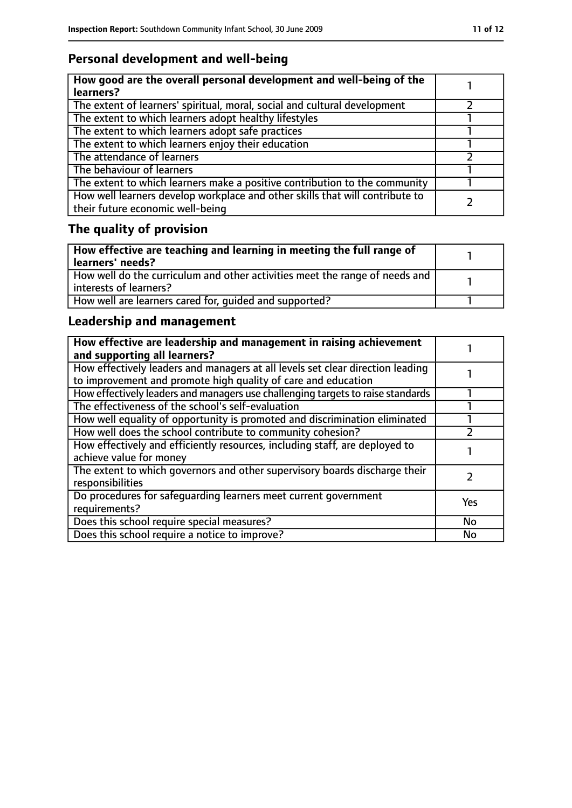# **Personal development and well-being**

| How good are the overall personal development and well-being of the<br>learners?                                 |  |
|------------------------------------------------------------------------------------------------------------------|--|
| The extent of learners' spiritual, moral, social and cultural development                                        |  |
| The extent to which learners adopt healthy lifestyles                                                            |  |
| The extent to which learners adopt safe practices                                                                |  |
| The extent to which learners enjoy their education                                                               |  |
| The attendance of learners                                                                                       |  |
| The behaviour of learners                                                                                        |  |
| The extent to which learners make a positive contribution to the community                                       |  |
| How well learners develop workplace and other skills that will contribute to<br>their future economic well-being |  |

# **The quality of provision**

| $\mid$ How effective are teaching and learning in meeting the full range of<br>  learners' needs?       |  |
|---------------------------------------------------------------------------------------------------------|--|
| How well do the curriculum and other activities meet the range of needs and<br>  interests of learners? |  |
| How well are learners cared for, quided and supported?                                                  |  |

# **Leadership and management**

| How effective are leadership and management in raising achievement<br>and supporting all learners?                                              |     |
|-------------------------------------------------------------------------------------------------------------------------------------------------|-----|
| How effectively leaders and managers at all levels set clear direction leading<br>to improvement and promote high quality of care and education |     |
| How effectively leaders and managers use challenging targets to raise standards                                                                 |     |
| The effectiveness of the school's self-evaluation                                                                                               |     |
| How well equality of opportunity is promoted and discrimination eliminated                                                                      |     |
| How well does the school contribute to community cohesion?                                                                                      |     |
| How effectively and efficiently resources, including staff, are deployed to<br>achieve value for money                                          |     |
| The extent to which governors and other supervisory boards discharge their<br>responsibilities                                                  |     |
| Do procedures for safequarding learners meet current government<br>requirements?                                                                | Yes |
| Does this school require special measures?                                                                                                      | No  |
| Does this school require a notice to improve?                                                                                                   | No  |